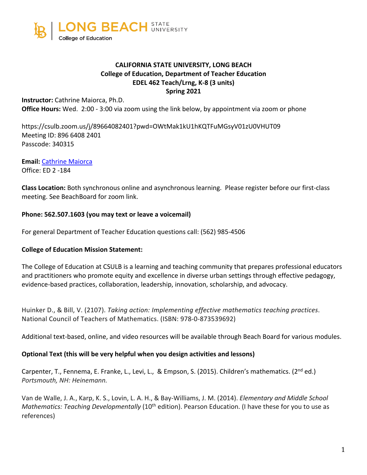

## **CALIFORNIA STATE UNIVERSITY, LONG BEACH College of Education, Department of Teacher Education EDEL 462 Teach/Lrng, K-8 (3 units) Spring 2021**

**Instructor:** Cathrine Maiorca, Ph.D. **Office Hours:** Wed. 2:00 - 3:00 via zoom using the link below, by appointment via zoom or phone

https://csulb.zoom.us/j/89664082401?pwd=OWtMak1kU1hKQTFuMGsyV01zU0VHUT09 Meeting ID: 896 6408 2401 Passcode: 340315

**Email:** Cathrine Maiorca Office: ED 2 -184

**Class Location:** Both synchronous online and asynchronous learning. Please register before our first-class meeting. See BeachBoard for zoom link.

## **Phone: 562.507.1603 (you may text or leave a voicemail)**

For general Department of Teacher Education questions call: (562) 985-4506

## **College of Education Mission Statement:**

The College of Education at CSULB is a learning and teaching community that prepares professional educators and practitioners who promote equity and excellence in diverse urban settings through effective pedagogy, evidence-based practices, collaboration, leadership, innovation, scholarship, and advocacy.

Huinker D., & Bill, V. (2107). *Taking action: Implementing effective mathematics teaching practices*. National Council of Teachers of Mathematics. (ISBN: 978-0-873539692)

Additional text-based, online, and video resources will be available through Beach Board for various modules.

#### **Optional Text (this will be very helpful when you design activities and lessons)**

Carpenter, T., Fennema, E. Franke, L., Levi, L., & Empson, S. (2015). Children's mathematics. (2<sup>nd</sup> ed.) *Portsmouth, NH: Heinemann.*

Van de Walle, J. A., Karp, K. S., Lovin, L. A. H., & Bay-Williams, J. M. (2014). *Elementary and Middle School Mathematics: Teaching Developmentally* (10<sup>th</sup> edition). Pearson Education. (I have these for you to use as references)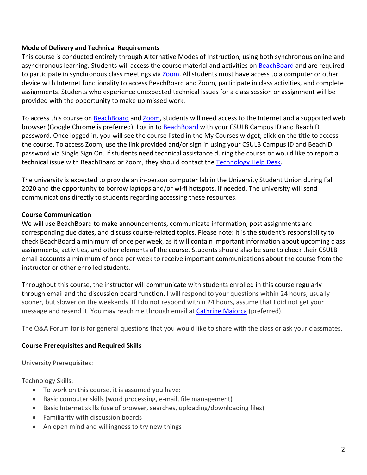## **Mode of Delivery and Technical Requirements**

This course is conducted entirely through Alternative Modes of Instruction, using both synchronous online and asynchronous learning. Students will access the course material and activities on BeachBoard and are required to participate in synchronous class meetings via Zoom. All students must have access to a computer or other device with Internet functionality to access BeachBoard and Zoom, participate in class activities, and complete assignments. Students who experience unexpected technical issues for a class session or assignment will be provided with the opportunity to make up missed work.

To access this course on BeachBoard and Zoom, students will need access to the Internet and a supported web browser (Google Chrome is preferred). Log in to BeachBoard with your CSULB Campus ID and BeachID password. Once logged in, you will see the course listed in the My Courses widget; click on the title to access the course. To access Zoom, use the link provided and/or sign in using your CSULB Campus ID and BeachID password via Single Sign On. If students need technical assistance during the course or would like to report a technical issue with BeachBoard or Zoom, they should contact the Technology Help Desk.

The university is expected to provide an in-person computer lab in the University Student Union during Fall 2020 and the opportunity to borrow laptops and/or wi-fi hotspots, if needed. The university will send communications directly to students regarding accessing these resources.

#### **Course Communication**

We will use BeachBoard to make announcements, communicate information, post assignments and corresponding due dates, and discuss course-related topics. Please note: It is the student's responsibility to check BeachBoard a minimum of once per week, as it will contain important information about upcoming class assignments, activities, and other elements of the course. Students should also be sure to check their CSULB email accounts a minimum of once per week to receive important communications about the course from the instructor or other enrolled students.

Throughout this course, the instructor will communicate with students enrolled in this course regularly through email and the discussion board function. I will respond to your questions within 24 hours, usually sooner, but slower on the weekends. If I do not respond within 24 hours, assume that I did not get your message and resend it. You may reach me through email at Cathrine Maiorca (preferred).

The Q&A Forum for is for general questions that you would like to share with the class or ask your classmates.

## **Course Prerequisites and Required Skills**

University Prerequisites:

Technology Skills:

- To work on this course, it is assumed you have:
- Basic computer skills (word processing, e-mail, file management)
- Basic Internet skills (use of browser, searches, uploading/downloading files)
- Familiarity with discussion boards
- An open mind and willingness to try new things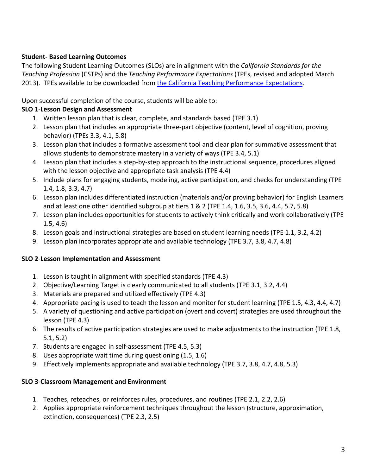## **Student- Based Learning Outcomes**

The following Student Learning Outcomes (SLOs) are in alignment with the *California Standards for the Teaching Profession* (CSTPs) and the *Teaching Performance Expectations* (TPEs, revised and adopted March 2013). TPEs available to be downloaded from the California Teaching Performance Expectations.

Upon successful completion of the course, students will be able to:

# **SLO 1**-**Lesson Design and Assessment**

- 1. Written lesson plan that is clear, complete, and standards based (TPE 3.1)
- 2. Lesson plan that includes an appropriate three-part objective (content, level of cognition, proving behavior) (TPEs 3.3, 4.1, 5.8)
- 3. Lesson plan that includes a formative assessment tool and clear plan for summative assessment that allows students to demonstrate mastery in a variety of ways (TPE 3.4, 5.1)
- 4. Lesson plan that includes a step-by-step approach to the instructional sequence, procedures aligned with the lesson objective and appropriate task analysis (TPE 4.4)
- 5. Include plans for engaging students, modeling, active participation, and checks for understanding (TPE 1.4, 1.8, 3.3, 4.7)
- 6. Lesson plan includes differentiated instruction (materials and/or proving behavior) for English Learners and at least one other identified subgroup at tiers 1 & 2 (TPE 1.4, 1.6, 3.5, 3.6, 4.4, 5.7, 5.8)
- 7. Lesson plan includes opportunities for students to actively think critically and work collaboratively (TPE 1.5, 4.6)
- 8. Lesson goals and instructional strategies are based on student learning needs (TPE 1.1, 3.2, 4.2)
- 9. Lesson plan incorporates appropriate and available technology (TPE 3.7, 3.8, 4.7, 4.8)

# **SLO 2**-**Lesson Implementation and Assessment**

- 1. Lesson is taught in alignment with specified standards (TPE 4.3)
- 2. Objective/Learning Target is clearly communicated to all students (TPE 3.1, 3.2, 4.4)
- 3. Materials are prepared and utilized effectively (TPE 4.3)
- 4. Appropriate pacing is used to teach the lesson and monitor for student learning (TPE 1.5, 4.3, 4.4, 4.7)
- 5. A variety of questioning and active participation (overt and covert) strategies are used throughout the lesson (TPE 4.3)
- 6. The results of active participation strategies are used to make adjustments to the instruction (TPE 1.8, 5.1, 5.2)
- 7. Students are engaged in self-assessment (TPE 4.5, 5.3)
- 8. Uses appropriate wait time during questioning (1.5, 1.6)
- 9. Effectively implements appropriate and available technology (TPE 3.7, 3.8, 4.7, 4.8, 5.3)

## **SLO 3**-**Classroom Management and Environment**

- 1. Teaches, reteaches, or reinforces rules, procedures, and routines (TPE 2.1, 2.2, 2.6)
- 2. Applies appropriate reinforcement techniques throughout the lesson (structure, approximation, extinction, consequences) (TPE 2.3, 2.5)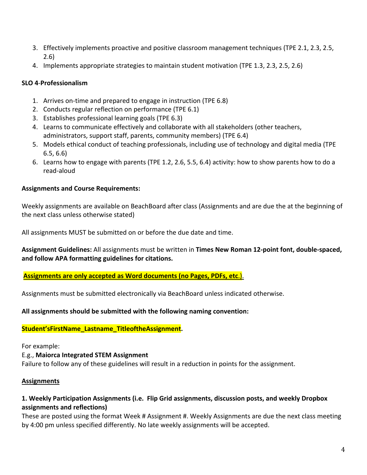- 3. Effectively implements proactive and positive classroom management techniques (TPE 2.1, 2.3, 2.5, 2.6)
- 4. Implements appropriate strategies to maintain student motivation (TPE 1.3, 2.3, 2.5, 2.6)

## **SLO 4**-**Professionalism**

- 1. Arrives on-time and prepared to engage in instruction (TPE 6.8)
- 2. Conducts regular reflection on performance (TPE 6.1)
- 3. Establishes professional learning goals (TPE 6.3)
- 4. Learns to communicate effectively and collaborate with all stakeholders (other teachers, administrators, support staff, parents, community members) (TPE 6.4)
- 5. Models ethical conduct of teaching professionals, including use of technology and digital media (TPE 6.5, 6.6)
- 6. Learns how to engage with parents (TPE 1.2, 2.6, 5.5, 6.4) activity: how to show parents how to do a read-aloud

# **Assignments and Course Requirements:**

Weekly assignments are available on BeachBoard after class (Assignments and are due the at the beginning of the next class unless otherwise stated)

All assignments MUST be submitted on or before the due date and time.

**Assignment Guidelines:** All assignments must be written in **Times New Roman 12-point font, double-spaced, and follow APA formatting guidelines for citations.**

**Assignments are only accepted as Word documents (no Pages, PDFs, etc**.).

Assignments must be submitted electronically via BeachBoard unless indicated otherwise.

## **All assignments should be submitted with the following naming convention:**

## **Student'sFirstName\_Lastname\_TitleoftheAssignment.**

For example:

E.g., **Maiorca Integrated STEM Assignment** Failure to follow any of these guidelines will result in a reduction in points for the assignment.

## **Assignments**

# **1. Weekly Participation Assignments (i.e. Flip Grid assignments, discussion posts, and weekly Dropbox assignments and reflections)**

These are posted using the format Week # Assignment #. Weekly Assignments are due the next class meeting by 4:00 pm unless specified differently. No late weekly assignments will be accepted.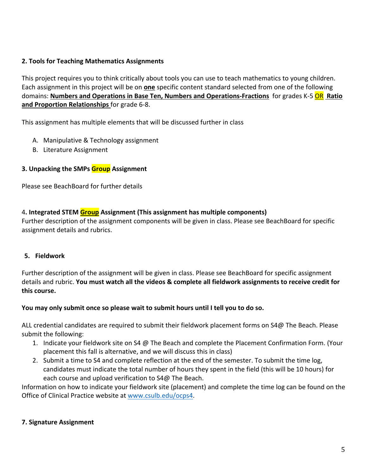## **2. Tools for Teaching Mathematics Assignments**

This project requires you to think critically about tools you can use to teach mathematics to young children. Each assignment in this project will be on **one** specific content standard selected from one of the following domains: **Numbers and Operations in Base Ten, Numbers and Operations-Fractions** for grades K-5 OR **Ratio and Proportion Relationships** for grade 6-8.

This assignment has multiple elements that will be discussed further in class

- A. Manipulative & Technology assignment
- B. Literature Assignment

## **3. Unpacking the SMPs Group Assignment**

Please see BeachBoard for further details

## 4**. Integrated STEM Group Assignment (This assignment has multiple components)**

Further description of the assignment components will be given in class. Please see BeachBoard for specific assignment details and rubrics.

## **5. Fieldwork**

Further description of the assignment will be given in class. Please see BeachBoard for specific assignment details and rubric. **You must watch all the videos & complete all fieldwork assignments to receive credit for this course.**

## **You may only submit once so please wait to submit hours until I tell you to do so.**

ALL credential candidates are required to submit their fieldwork placement forms on S4@ The Beach. Please submit the following:

- 1. Indicate your fieldwork site on S4 @ The Beach and complete the Placement Confirmation Form. (Your placement this fall is alternative, and we will discuss this in class)
- 2. Submit a time to S4 and complete reflection at the end of the semester. To submit the time log, candidates must indicate the total number of hours they spent in the field (this will be 10 hours) for each course and upload verification to S4@ The Beach.

Information on how to indicate your fieldwork site (placement) and complete the time log can be found on the Office of Clinical Practice website at www.csulb.edu/ocps4.

## **7. Signature Assignment**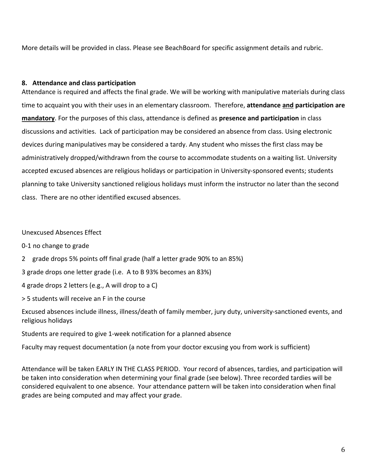More details will be provided in class. Please see BeachBoard for specific assignment details and rubric.

#### **8. Attendance and class participation**

Attendance is required and affects the final grade. We will be working with manipulative materials during class time to acquaint you with their uses in an elementary classroom. Therefore, **attendance and participation are mandatory**. For the purposes of this class, attendance is defined as **presence and participation** in class discussions and activities. Lack of participation may be considered an absence from class. Using electronic devices during manipulatives may be considered a tardy. Any student who misses the first class may be administratively dropped/withdrawn from the course to accommodate students on a waiting list. University accepted excused absences are religious holidays or participation in University-sponsored events; students planning to take University sanctioned religious holidays must inform the instructor no later than the second class. There are no other identified excused absences.

Unexcused Absences Effect

0-1 no change to grade

2 grade drops 5% points off final grade (half a letter grade 90% to an 85%)

3 grade drops one letter grade (i.e. A to B 93% becomes an 83%)

4 grade drops 2 letters (e.g., A will drop to a C)

> 5 students will receive an F in the course

Excused absences include illness, illness/death of family member, jury duty, university-sanctioned events, and religious holidays

Students are required to give 1-week notification for a planned absence

Faculty may request documentation (a note from your doctor excusing you from work is sufficient)

Attendance will be taken EARLY IN THE CLASS PERIOD. Your record of absences, tardies, and participation will be taken into consideration when determining your final grade (see below). Three recorded tardies will be considered equivalent to one absence. Your attendance pattern will be taken into consideration when final grades are being computed and may affect your grade.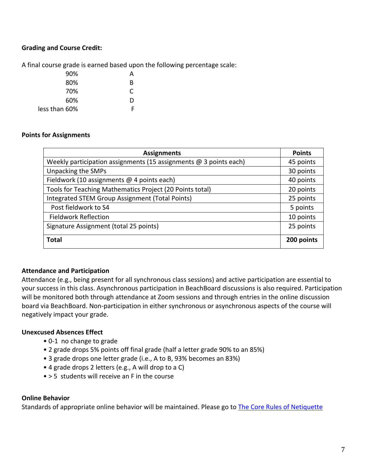## **Grading and Course Credit:**

A final course grade is earned based upon the following percentage scale:

| 90%           | А |
|---------------|---|
| 80%           | R |
| 70%           | C |
| 60%           | D |
| less than 60% | Е |

#### **Points for Assignments**

| <b>Assignments</b>                                                  | <b>Points</b> |
|---------------------------------------------------------------------|---------------|
| Weekly participation assignments (15 assignments $@$ 3 points each) | 45 points     |
| Unpacking the SMPs                                                  | 30 points     |
| Fieldwork (10 assignments @ 4 points each)                          | 40 points     |
| Tools for Teaching Mathematics Project (20 Points total)            | 20 points     |
| Integrated STEM Group Assignment (Total Points)                     | 25 points     |
| Post fieldwork to S4                                                | 5 points      |
| <b>Fieldwork Reflection</b>                                         | 10 points     |
| Signature Assignment (total 25 points)                              | 25 points     |
| <b>Total</b>                                                        | 200 points    |

#### **Attendance and Participation**

Attendance (e.g., being present for all synchronous class sessions) and active participation are essential to your success in this class. Asynchronous participation in BeachBoard discussions is also required. Participation will be monitored both through attendance at Zoom sessions and through entries in the online discussion board via BeachBoard. Non-participation in either synchronous or asynchronous aspects of the course will negatively impact your grade.

#### **Unexcused Absences Effect**

- 0-1 no change to grade
- 2 grade drops 5% points off final grade (half a letter grade 90% to an 85%)
- 3 grade drops one letter grade (i.e., A to B, 93% becomes an 83%)
- 4 grade drops 2 letters (e.g., A will drop to a C)
- > 5 students will receive an F in the course

#### **Online Behavior**

Standards of appropriate online behavior will be maintained. Please go to The Core Rules of Netiquette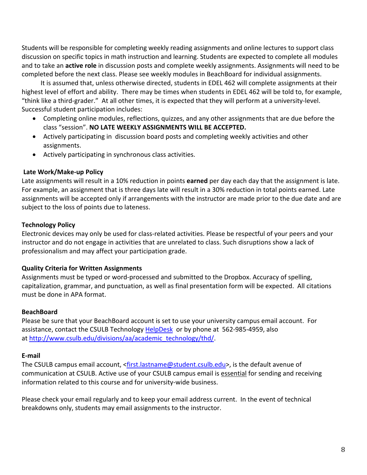Students will be responsible for completing weekly reading assignments and online lectures to support class discussion on specific topics in math instruction and learning. Students are expected to complete all modules and to take an **active role** in discussion posts and complete weekly assignments. Assignments will need to be completed before the next class. Please see weekly modules in BeachBoard for individual assignments.

 It is assumed that, unless otherwise directed, students in EDEL 462 will complete assignments at their highest level of effort and ability. There may be times when students in EDEL 462 will be told to, for example, "think like a third-grader." At all other times, it is expected that they will perform at a university-level. Successful student participation includes:

- Completing online modules, reflections, quizzes, and any other assignments that are due before the class "session". **NO LATE WEEKLY ASSIGNMENTS WILL BE ACCEPTED.**
- Actively participating in discussion board posts and completing weekly activities and other assignments.
- Actively participating in synchronous class activities.

## **Late Work/Make-up Policy**

Late assignments will result in a 10% reduction in points **earned** per day each day that the assignment is late. For example, an assignment that is three days late will result in a 30% reduction in total points earned. Late assignments will be accepted only if arrangements with the instructor are made prior to the due date and are subject to the loss of points due to lateness.

## **Technology Policy**

Electronic devices may only be used for class-related activities. Please be respectful of your peers and your instructor and do not engage in activities that are unrelated to class. Such disruptions show a lack of professionalism and may affect your participation grade.

# **Quality Criteria for Written Assignments**

Assignments must be typed or word-processed and submitted to the Dropbox. Accuracy of spelling, capitalization, grammar, and punctuation, as well as final presentation form will be expected. All citations must be done in APA format.

## **BeachBoard**

Please be sure that your BeachBoard account is set to use your university campus email account. For assistance, contact the CSULB Technology HelpDesk or by phone at 562-985-4959, also at http://www.csulb.edu/divisions/aa/academic\_technology/thd/.

## **E-mail**

The CSULB campus email account, <first.lastname@student.csulb.edu>, is the default avenue of communication at CSULB. Active use of your CSULB campus email is essential for sending and receiving information related to this course and for university-wide business.

Please check your email regularly and to keep your email address current. In the event of technical breakdowns only, students may email assignments to the instructor.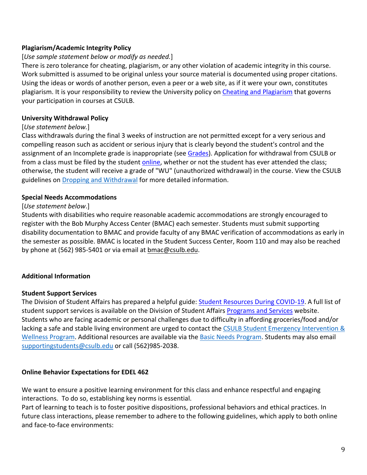## **Plagiarism/Academic Integrity Policy**

## [*Use sample statement below or modify as needed.*]

There is zero tolerance for cheating, plagiarism, or any other violation of academic integrity in this course. Work submitted is assumed to be original unless your source material is documented using proper citations. Using the ideas or words of another person, even a peer or a web site, as if it were your own, constitutes plagiarism. It is your responsibility to review the University policy on Cheating and Plagiarism that governs your participation in courses at CSULB.

## **University Withdrawal Policy**

#### [*Use statement below.*]

Class withdrawals during the final 3 weeks of instruction are not permitted except for a very serious and compelling reason such as accident or serious injury that is clearly beyond the student's control and the assignment of an Incomplete grade is inappropriate (see Grades). Application for withdrawal from CSULB or from a class must be filed by the student online, whether or not the student has ever attended the class; otherwise, the student will receive a grade of "WU" (unauthorized withdrawal) in the course. View the CSULB guidelines on Dropping and Withdrawal for more detailed information.

#### **Special Needs Accommodations**

#### [*Use statement below*.]

Students with disabilities who require reasonable academic accommodations are strongly encouraged to register with the Bob Murphy Access Center (BMAC) each semester. Students must submit supporting disability documentation to BMAC and provide faculty of any BMAC verification of accommodations as early in the semester as possible. BMAC is located in the Student Success Center, Room 110 and may also be reached by phone at (562) 985-5401 or via email at bmac@csulb.edu.

## **Additional Information**

#### **Student Support Services**

The Division of Student Affairs has prepared a helpful guide: Student Resources During COVID-19. A full list of student support services is available on the Division of Student Affairs Programs and Services website. Students who are facing academic or personal challenges due to difficulty in affording groceries/food and/or lacking a safe and stable living environment are urged to contact the CSULB Student Emergency Intervention & Wellness Program. Additional resources are available via the Basic Needs Program. Students may also email supportingstudents@csulb.edu or call (562)985-2038.

## **Online Behavior Expectations for EDEL 462**

We want to ensure a positive learning environment for this class and enhance respectful and engaging interactions. To do so, establishing key norms is essential.

Part of learning to teach is to foster positive dispositions, professional behaviors and ethical practices. In future class interactions, please remember to adhere to the following guidelines, which apply to both online and face-to-face environments: